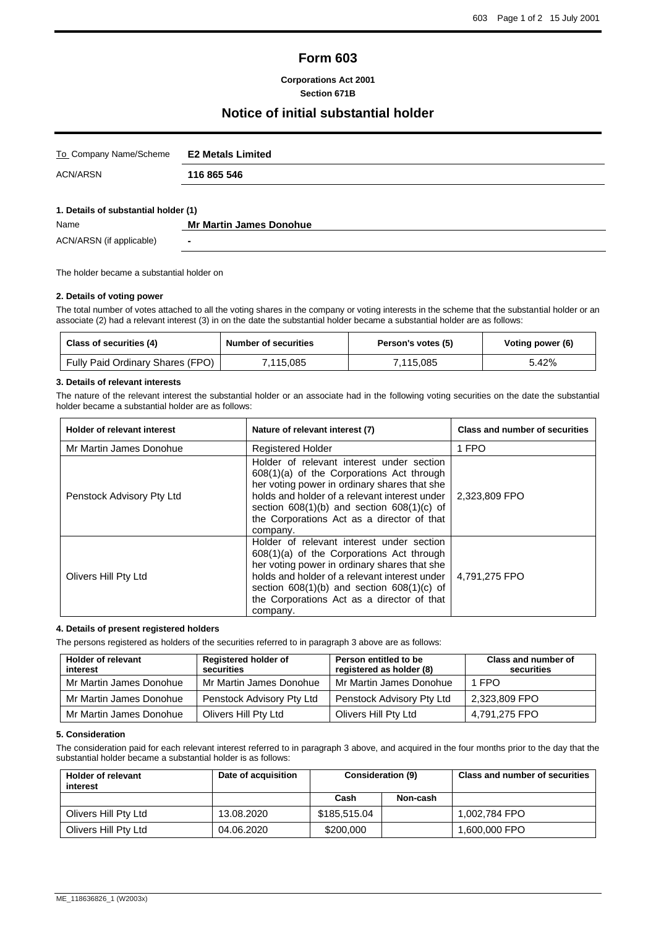# **Form 603**

**Corporations Act 2001 Section 671B**

## **Notice of initial substantial holder**

| To Company Name/Scheme               | <b>E2 Metals Limited</b>       |
|--------------------------------------|--------------------------------|
| ACN/ARSN                             | 116 865 546                    |
|                                      |                                |
| 1. Details of substantial holder (1) |                                |
| Name                                 | <b>Mr Martin James Donohue</b> |

ACN/ARSN (if applicable) **-**

The holder became a substantial holder on

#### **2. Details of voting power**

The total number of votes attached to all the voting shares in the company or voting interests in the scheme that the substantial holder or an associate (2) had a relevant interest (3) in on the date the substantial holder became a substantial holder are as follows:

| Class of securities (4)          | <b>Number of securities</b> | Person's votes (5) | Voting power (6) |
|----------------------------------|-----------------------------|--------------------|------------------|
| Fully Paid Ordinary Shares (FPO) | 115.085"                    | 7.115.085          | 5.42%            |

### **3. Details of relevant interests**

The nature of the relevant interest the substantial holder or an associate had in the following voting securities on the date the substantial holder became a substantial holder are as follows:

| <b>Holder of relevant interest</b>                                                                                                                                                                                                                                                                                          | Nature of relevant interest (7)                                                                                                                                                                                                                                                                       | Class and number of securities |
|-----------------------------------------------------------------------------------------------------------------------------------------------------------------------------------------------------------------------------------------------------------------------------------------------------------------------------|-------------------------------------------------------------------------------------------------------------------------------------------------------------------------------------------------------------------------------------------------------------------------------------------------------|--------------------------------|
| Mr Martin James Donohue                                                                                                                                                                                                                                                                                                     | <b>Registered Holder</b>                                                                                                                                                                                                                                                                              | 1 FPO                          |
| Penstock Advisory Pty Ltd                                                                                                                                                                                                                                                                                                   | Holder of relevant interest under section<br>$608(1)(a)$ of the Corporations Act through<br>her voting power in ordinary shares that she<br>holds and holder of a relevant interest under<br>section $608(1)(b)$ and section $608(1)(c)$ of<br>the Corporations Act as a director of that<br>company. | 2.323.809 FPO                  |
| Holder of relevant interest under section<br>608(1)(a) of the Corporations Act through<br>her voting power in ordinary shares that she<br>holds and holder of a relevant interest under<br>Olivers Hill Pty Ltd<br>section $608(1)(b)$ and section $608(1)(c)$ of<br>the Corporations Act as a director of that<br>company. |                                                                                                                                                                                                                                                                                                       | 4,791,275 FPO                  |

## **4. Details of present registered holders**

The persons registered as holders of the securities referred to in paragraph 3 above are as follows:

| <b>Holder of relevant</b><br>interest | <b>Registered holder of</b><br>securities | Person entitled to be<br>registered as holder (8) | Class and number of<br>securities |
|---------------------------------------|-------------------------------------------|---------------------------------------------------|-----------------------------------|
| Mr Martin James Donohue               | Mr Martin James Donohue                   | Mr Martin James Donohue                           | 1 FPO                             |
| Mr Martin James Donohue               | Penstock Advisory Pty Ltd                 | Penstock Advisory Pty Ltd                         | 2,323,809 FPO                     |
| Mr Martin James Donohue               | Olivers Hill Pty Ltd                      | Olivers Hill Pty Ltd                              | 4,791,275 FPO                     |

### **5. Consideration**

The consideration paid for each relevant interest referred to in paragraph 3 above, and acquired in the four months prior to the day that the substantial holder became a substantial holder is as follows:

| <b>Holder of relevant</b><br>interest | Date of acquisition | <b>Consideration (9)</b> |          | <b>Class and number of securities</b> |
|---------------------------------------|---------------------|--------------------------|----------|---------------------------------------|
|                                       |                     | Cash                     | Non-cash |                                       |
| Olivers Hill Pty Ltd                  | 13.08.2020          | \$185.515.04             |          | 1.002.784 FPO                         |
| Olivers Hill Pty Ltd                  | 04.06.2020          | \$200,000                |          | 1,600,000 FPO                         |